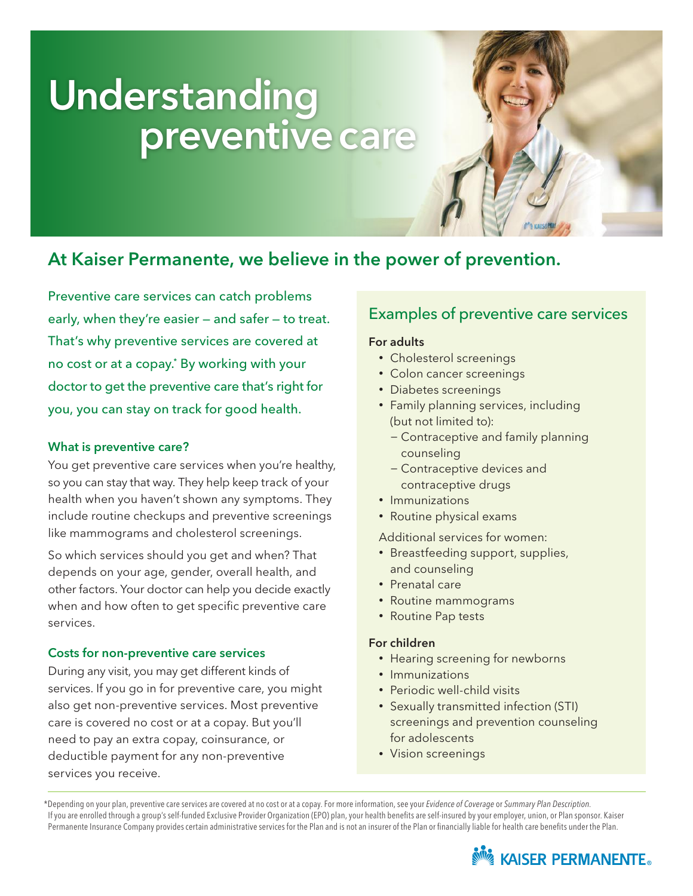# Understanding preventive care

## At Kaiser Permanente, we believe in the power of prevention.

Preventive care services can catch problems early, when they're easier — and safer — to treat. That's why preventive services are covered at no cost or at a copay.\* By working with your doctor to get the preventive care that's right for you, you can stay on track for good health.

### What is preventive care?

You get preventive care services when you're healthy, so you can stay that way. They help keep track of your health when you haven't shown any symptoms. They include routine checkups and preventive screenings like mammograms and cholesterol screenings.

So which services should you get and when? That depends on your age, gender, overall health, and other factors. Your doctor can help you decide exactly when and how often to get specific preventive care services.

### Costs for non-preventive care services

During any visit, you may get different kinds of services. If you go in for preventive care, you might also get non-preventive services. Most preventive care is covered no cost or at a copay. But you'll need to pay an extra copay, coinsurance, or deductible payment for any non-preventive services you receive.

## Examples of preventive care services

#### For adults

- Cholesterol screenings
- Colon cancer screenings
- Diabetes screenings
- Family planning services, including (but not limited to):
	- − Contraceptive and family planning counseling
	- − Contraceptive devices and contraceptive drugs
- Immunizations
- Routine physical exams

Additional services for women:

- Breastfeeding support, supplies, and counseling
- Prenatal care
- Routine mammograms
- Routine Pap tests

### For children

- Hearing screening for newborns
- Immunizations
- Periodic well-child visits
- Sexually transmitted infection (STI) screenings and prevention counseling for adolescents
- Vision screenings

 \*Depending on your plan, preventive care services are covered at no cost or at a copay. For more information, see your *Evidence of Coverage* or *Summary Plan Description.* If you are enrolled through a group's self-funded Exclusive Provider Organization (EPO) plan, your health benefits are self-insured by your employer, union, or Plan sponsor. Kaiser Permanente Insurance Company provides certain administrative services for the Plan and is not an insurer of the Plan or financially liable for health care benefits under the Plan.